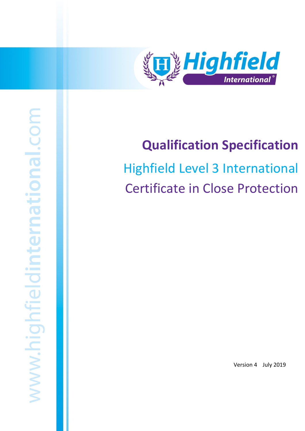

## **Qualification Specification**

# Highfield Level 3 International Certificate in Close Protection

Version 4 July 2019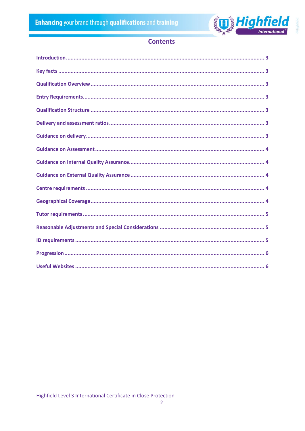

## **Contents**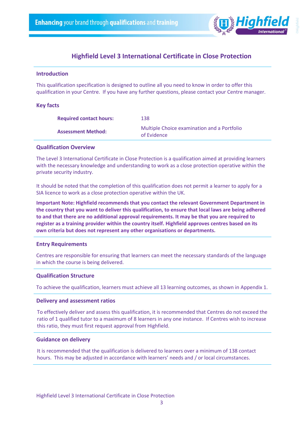

#### <span id="page-2-0"></span>**Introduction**

This qualification specification is designed to outline all you need to know in order to offer this qualification in your Centre. If you have any further questions, please contact your Centre manager.

#### <span id="page-2-1"></span>**Key facts**

| <b>Required contact hours:</b> | 138                                                        |
|--------------------------------|------------------------------------------------------------|
| <b>Assessment Method:</b>      | Multiple Choice examination and a Portfolio<br>of Evidence |

#### <span id="page-2-2"></span>**Qualification Overview**

The Level 3 International Certificate in Close Protection is a qualification aimed at providing learners with the necessary knowledge and understanding to work as a close protection operative within the private security industry.

It should be noted that the completion of this qualification does not permit a learner to apply for a SIA licence to work as a close protection operative within the UK.

**Important Note: Highfield recommends that you contact the relevant Government Department in the country that you want to deliver this qualification, to ensure that local laws are being adhered to and that there are no additional approval requirements. It may be that you are required to register as a training provider within the country itself. Highfield approves centres based on its own criteria but does not represent any other organisations or departments.**

#### <span id="page-2-3"></span>**Entry Requirements**

Centres are responsible for ensuring that learners can meet the necessary standards of the language in which the course is being delivered.

#### <span id="page-2-4"></span>**Qualification Structure**

To achieve the qualification, learners must achieve all 13 learning outcomes, as shown in Appendix 1.

#### <span id="page-2-5"></span>**Delivery and assessment ratios**

To effectively deliver and assess this qualification, it is recommended that Centres do not exceed the ratio of 1 qualified tutor to a maximum of 8 learners in any one instance. If Centres wish to increase this ratio, they must first request approval from Highfield.

#### <span id="page-2-6"></span>**Guidance on delivery**

It is recommended that the qualification is delivered to learners over a minimum of 138 contact hours. This may be adjusted in accordance with learners' needs and / or local circumstances.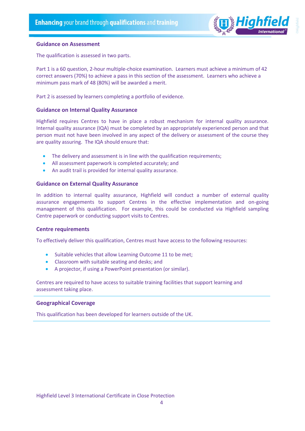

#### <span id="page-3-0"></span>**Guidance on Assessment**

The qualification is assessed in two parts.

Part 1 is a 60 question, 2-hour multiple-choice examination. Learners must achieve a minimum of 42 correct answers (70%) to achieve a pass in this section of the assessment. Learners who achieve a minimum pass mark of 48 (80%) will be awarded a merit.

Part 2 is assessed by learners completing a portfolio of evidence.

#### <span id="page-3-1"></span>**Guidance on Internal Quality Assurance**

Highfield requires Centres to have in place a robust mechanism for internal quality assurance. Internal quality assurance (IQA) must be completed by an appropriately experienced person and that person must not have been involved in any aspect of the delivery or assessment of the course they are quality assuring. The IQA should ensure that:

- The delivery and assessment is in line with the qualification requirements;
- All assessment paperwork is completed accurately; and
- An audit trail is provided for internal quality assurance.

#### <span id="page-3-2"></span>**Guidance on External Quality Assurance**

In addition to internal quality assurance, Highfield will conduct a number of external quality assurance engagements to support Centres in the effective implementation and on-going management of this qualification. For example, this could be conducted via Highfield sampling Centre paperwork or conducting support visits to Centres.

#### <span id="page-3-3"></span>**Centre requirements**

To effectively deliver this qualification, Centres must have access to the following resources:

- Suitable vehicles that allow Learning Outcome 11 to be met;
- Classroom with suitable seating and desks; and
- A projector, if using a PowerPoint presentation (or similar).

Centres are required to have access to suitable training facilities that support learning and assessment taking place.

#### <span id="page-3-4"></span>**Geographical Coverage**

This qualification has been developed for learners outside of the UK.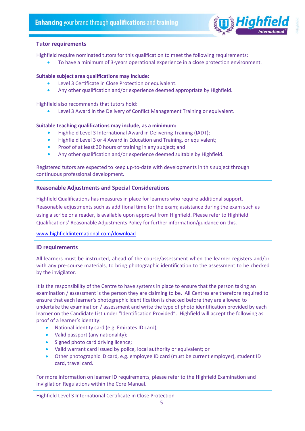

#### <span id="page-4-0"></span>**Tutor requirements**

Highfield require nominated tutors for this qualification to meet the following requirements:

• To have a minimum of 3-years operational experience in a close protection environment.

#### **Suitable subject area qualifications may include:**

- Level 3 Certificate in Close Protection or equivalent.
- Any other qualification and/or experience deemed appropriate by Highfield.

Highfield also recommends that tutors hold:

• Level 3 Award in the Delivery of Conflict Management Training or equivalent.

#### **Suitable teaching qualifications may include, as a minimum:**

- Highfield Level 3 International Award in Delivering Training (IADT);
- Highfield Level 3 or 4 Award in Education and Training, or equivalent;
- Proof of at least 30 hours of training in any subject; and
- Any other qualification and/or experience deemed suitable by Highfield.

Registered tutors are expected to keep up-to-date with developments in this subject through continuous professional development.

#### <span id="page-4-1"></span>**Reasonable Adjustments and Special Considerations**

Highfield Qualifications has measures in place for learners who require additional support. Reasonable adjustments such as additional time for the exam; assistance during the exam such as using a scribe or a reader, is available upon approval from Highfield. Please refer to Highfield Qualifications' Reasonable Adjustments Policy for further information/guidance on this.

#### [www.highfieldinternational.com/download](http://www.highfieldinternational.com/download)

#### <span id="page-4-2"></span>**ID requirements**

All learners must be instructed, ahead of the course/assessment when the learner registers and/or with any pre-course materials, to bring photographic identification to the assessment to be checked by the invigilator.

It is the responsibility of the Centre to have systems in place to ensure that the person taking an examination / assessment is the person they are claiming to be. All Centres are therefore required to ensure that each learner's photographic identification is checked before they are allowed to undertake the examination / assessment and write the type of photo identification provided by each learner on the Candidate List under "Identification Provided". Highfield will accept the following as proof of a learner's identity:

- National identity card (e.g. Emirates ID card);
- Valid passport (any nationality);
- Signed photo card driving licence;
- Valid warrant card issued by police, local authority or equivalent; or
- Other photographic ID card, e.g. employee ID card (must be current employer), student ID card, travel card.

For more information on learner ID requirements, please refer to the Highfield Examination and Invigilation Regulations within the Core Manual.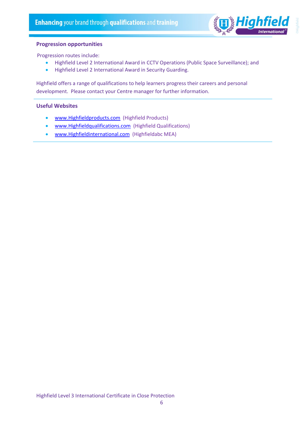

#### <span id="page-5-0"></span>**Progression opportunities**

Progression routes include:

- Highfield Level 2 International Award in CCTV Operations (Public Space Surveillance); and
- Highfield Level 2 International Award in Security Guarding.

Highfield offers a range of qualifications to help learners progress their careers and personal development. Please contact your Centre manager for further information.

#### <span id="page-5-1"></span>**Useful Websites**

- [www.Highfieldproducts.com](http://www.highfieldproducts.com/) (Highfield Products)
- [www.Highfieldqualifications.com](http://www.highfieldqualifications.com/) (Highfield Qualifications)
- [www.Highfieldinternational.com](http://www.highfieldinternational.com/) (Highfieldabc MEA)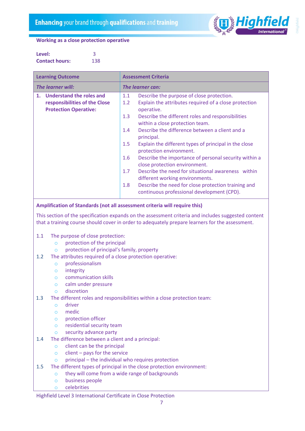

#### **Working as a close protection operative**

| Level:                |     |
|-----------------------|-----|
| <b>Contact hours:</b> | 138 |

| <b>Learning Outcome</b>                                                                                                                                                                                |                                                                                                        |                         | <b>Assessment Criteria</b>                                                                                       |  |  |
|--------------------------------------------------------------------------------------------------------------------------------------------------------------------------------------------------------|--------------------------------------------------------------------------------------------------------|-------------------------|------------------------------------------------------------------------------------------------------------------|--|--|
| The learner will:                                                                                                                                                                                      |                                                                                                        | <b>The learner can:</b> |                                                                                                                  |  |  |
| $\mathbf{1}$ .                                                                                                                                                                                         | <b>Understand the roles and</b><br>responsibilities of the Close<br><b>Protection Operative:</b>       | 1.1<br>1.2              | Describe the purpose of close protection.<br>Explain the attributes required of a close protection<br>operative. |  |  |
|                                                                                                                                                                                                        |                                                                                                        | 1.3                     | Describe the different roles and responsibilities<br>within a close protection team.                             |  |  |
|                                                                                                                                                                                                        |                                                                                                        | 1.4                     | Describe the difference between a client and a<br>principal.                                                     |  |  |
|                                                                                                                                                                                                        |                                                                                                        | 1.5                     | Explain the different types of principal in the close<br>protection environment.                                 |  |  |
|                                                                                                                                                                                                        |                                                                                                        | 1.6                     | Describe the importance of personal security within a<br>close protection environment.                           |  |  |
|                                                                                                                                                                                                        |                                                                                                        | 1.7                     | Describe the need for situational awareness within<br>different working environments.                            |  |  |
|                                                                                                                                                                                                        |                                                                                                        | 1.8                     | Describe the need for close protection training and<br>continuous professional development (CPD).                |  |  |
|                                                                                                                                                                                                        | Amplification of Standards (not all assessment criteria will require this)                             |                         |                                                                                                                  |  |  |
| This section of the specification expands on the assessment criteria and includes suggested content<br>that a training course should cover in order to adequately prepare learners for the assessment. |                                                                                                        |                         |                                                                                                                  |  |  |
| 1.1                                                                                                                                                                                                    | The purpose of close protection:                                                                       |                         |                                                                                                                  |  |  |
| $\circ$                                                                                                                                                                                                | protection of the principal                                                                            |                         |                                                                                                                  |  |  |
| $\circ$<br>1.2                                                                                                                                                                                         | protection of principal's family, property<br>The attributes required of a close protection operative: |                         |                                                                                                                  |  |  |
| $\circ$                                                                                                                                                                                                | professionalism                                                                                        |                         |                                                                                                                  |  |  |
| $\circ$                                                                                                                                                                                                | integrity                                                                                              |                         |                                                                                                                  |  |  |
| $\Omega$                                                                                                                                                                                               | communication skills                                                                                   |                         |                                                                                                                  |  |  |
| $\circ$                                                                                                                                                                                                | calm under pressure                                                                                    |                         |                                                                                                                  |  |  |
| $\Omega$                                                                                                                                                                                               | discretion                                                                                             |                         |                                                                                                                  |  |  |
| 1.3                                                                                                                                                                                                    |                                                                                                        |                         | The different roles and responsibilities within a close protection team:                                         |  |  |

- o driver
- o medic
- o protection officer
- o residential security team
- o security advance party
- 1.4 The difference between a client and a principal:
	- o client can be the principal
	- $\circ$  client pays for the service
	- $\circ$  principal the individual who requires protection
- 1.5 The different types of principal in the close protection environment:
	- o they will come from a wide range of backgrounds
		- o business people
		- o celebrities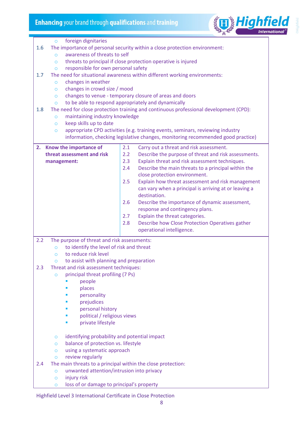

o foreign dignitaries 1.6 The importance of personal security within a close protection environment: o awareness of threats to self o threats to principal if close protection operative is injured o responsible for own personal safety 1.7 The need for situational awareness within different working environments: o changes in weather o changes in crowd size / mood o changes to venue - temporary closure of areas and doors o to be able to respond appropriately and dynamically 1.8 The need for close protection training and continuous professional development (CPD): o maintaining industry knowledge o keep skills up to date o appropriate CPD activities (e.g. training events, seminars, reviewing industry information, checking legislative changes, monitoring recommended good practice) **2. Know the importance of threat assessment and risk management:** 2.1 Carry out a threat and risk assessment. 2.2 Describe the purpose of threat and risk assessments. 2.3 Explain threat and risk assessment techniques. 2.4 Describe the main threats to a principal within the close protection environment. 2.5 Explain how threat assessment and risk management can vary when a principal is arriving at or leaving a destination. 2.6 Describe the importance of dynamic assessment, response and contingency plans. 2.7 Explain the threat categories. 2.8 Describe how Close Protection Operatives gather operational intelligence. 2.2 The purpose of threat and risk assessments: o to identify the level of risk and threat o to reduce risk level  $\circ$  to assist with planning and preparation 2.3 Threat and risk assessment techniques: o principal threat profiling (7 Ps) people places personality prejudices personal history political / religious views ▪ private lifestyle o identifying probability and potential impact o balance of protection vs. lifestyle o using a systematic approach o review regularly 2.4 The main threats to a principal within the close protection: o unwanted attention/intrusion into privacy o injury risk o loss of or damage to principal's property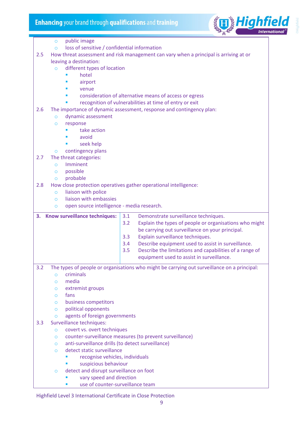

|     | public image<br>$\circ$                                                               |                                                                                                             |  |  |  |
|-----|---------------------------------------------------------------------------------------|-------------------------------------------------------------------------------------------------------------|--|--|--|
|     | loss of sensitive / confidential information<br>$\circ$                               |                                                                                                             |  |  |  |
| 2.5 | How threat assessment and risk management can vary when a principal is arriving at or |                                                                                                             |  |  |  |
|     | leaving a destination:                                                                |                                                                                                             |  |  |  |
|     | different types of location<br>$\Omega$                                               |                                                                                                             |  |  |  |
|     | hotel                                                                                 |                                                                                                             |  |  |  |
|     | airport                                                                               |                                                                                                             |  |  |  |
|     | venue                                                                                 |                                                                                                             |  |  |  |
|     |                                                                                       | consideration of alternative means of access or egress                                                      |  |  |  |
|     |                                                                                       | recognition of vulnerabilities at time of entry or exit                                                     |  |  |  |
| 2.6 |                                                                                       | The importance of dynamic assessment, response and contingency plan:                                        |  |  |  |
|     | dynamic assessment<br>$\Omega$                                                        |                                                                                                             |  |  |  |
|     | response<br>$\circ$                                                                   |                                                                                                             |  |  |  |
|     | take action                                                                           |                                                                                                             |  |  |  |
|     | avoid                                                                                 |                                                                                                             |  |  |  |
|     | seek help<br>contingency plans                                                        |                                                                                                             |  |  |  |
| 2.7 | $\circ$<br>The threat categories:                                                     |                                                                                                             |  |  |  |
|     | Imminent<br>$\Omega$                                                                  |                                                                                                             |  |  |  |
|     | possible<br>$\circ$                                                                   |                                                                                                             |  |  |  |
|     | probable<br>$\circ$                                                                   |                                                                                                             |  |  |  |
| 2.8 |                                                                                       | How close protection operatives gather operational intelligence:                                            |  |  |  |
|     | liaison with police<br>$\circ$                                                        |                                                                                                             |  |  |  |
|     | liaison with embassies<br>$\circ$                                                     |                                                                                                             |  |  |  |
|     |                                                                                       |                                                                                                             |  |  |  |
|     | open source intelligence - media research.<br>$\circ$                                 |                                                                                                             |  |  |  |
|     |                                                                                       |                                                                                                             |  |  |  |
| З.  | Know surveillance techniques:                                                         | 3.1<br>Demonstrate surveillance techniques.                                                                 |  |  |  |
|     |                                                                                       | 3.2<br>Explain the types of people or organisations who might                                               |  |  |  |
|     |                                                                                       | be carrying out surveillance on your principal.                                                             |  |  |  |
|     |                                                                                       | 3.3<br>Explain surveillance techniques.                                                                     |  |  |  |
|     |                                                                                       | 3.4<br>Describe equipment used to assist in surveillance.                                                   |  |  |  |
|     |                                                                                       | Describe the limitations and capabilities of a range of<br>3.5<br>equipment used to assist in surveillance. |  |  |  |
|     |                                                                                       |                                                                                                             |  |  |  |
| 3.2 |                                                                                       | The types of people or organisations who might be carrying out surveillance on a principal:                 |  |  |  |
|     | criminals<br>$\overline{O}$                                                           |                                                                                                             |  |  |  |
|     | media<br>$\circ$                                                                      |                                                                                                             |  |  |  |
|     | extremist groups<br>$\circ$                                                           |                                                                                                             |  |  |  |
|     | fans<br>$\circ$<br>$\circ$                                                            |                                                                                                             |  |  |  |
|     | business competitors<br>political opponents<br>$\circ$                                |                                                                                                             |  |  |  |
|     | agents of foreign governments<br>$\circ$                                              |                                                                                                             |  |  |  |
| 3.3 | Surveillance techniques:                                                              |                                                                                                             |  |  |  |
|     | covert vs. overt techniques<br>$\circ$                                                |                                                                                                             |  |  |  |
|     | $\circ$                                                                               | counter-surveillance measures (to prevent surveillance)                                                     |  |  |  |
|     | anti-surveillance drills (to detect surveillance)<br>$\circ$                          |                                                                                                             |  |  |  |
|     | detect static surveillance<br>$\circ$                                                 |                                                                                                             |  |  |  |
|     | recognise vehicles, individuals<br>п                                                  |                                                                                                             |  |  |  |
|     | suspicious behaviour                                                                  |                                                                                                             |  |  |  |
|     | detect and disrupt surveillance on foot<br>$\circ$<br>vary speed and direction        |                                                                                                             |  |  |  |

■ use of counter-surveillance team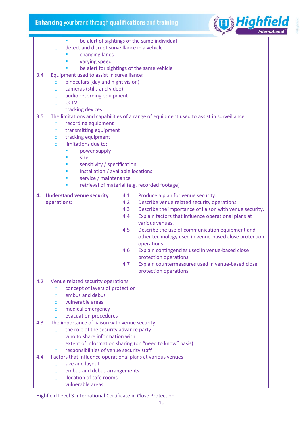

|     | be alert of sightings of the same individual               |                                                                                         |  |  |  |
|-----|------------------------------------------------------------|-----------------------------------------------------------------------------------------|--|--|--|
|     | detect and disrupt surveillance in a vehicle<br>$\circ$    |                                                                                         |  |  |  |
|     | changing lanes                                             |                                                                                         |  |  |  |
|     | varying speed                                              |                                                                                         |  |  |  |
|     | be alert for sightings of the same vehicle                 |                                                                                         |  |  |  |
| 3.4 | Equipment used to assist in surveillance:                  |                                                                                         |  |  |  |
|     | binoculars (day and night vision)<br>$\overline{O}$        |                                                                                         |  |  |  |
|     | cameras (stills and video)<br>$\circ$                      |                                                                                         |  |  |  |
|     | audio recording equipment                                  |                                                                                         |  |  |  |
|     | $\circ$<br><b>CCTV</b>                                     |                                                                                         |  |  |  |
|     | $\circ$                                                    |                                                                                         |  |  |  |
|     | tracking devices<br>$\circ$                                |                                                                                         |  |  |  |
| 3.5 |                                                            | The limitations and capabilities of a range of equipment used to assist in surveillance |  |  |  |
|     | recording equipment<br>$\circ$                             |                                                                                         |  |  |  |
|     | transmitting equipment<br>$\circ$                          |                                                                                         |  |  |  |
|     | tracking equipment<br>$\circ$                              |                                                                                         |  |  |  |
|     | limitations due to:<br>$\circ$                             |                                                                                         |  |  |  |
|     | power supply                                               |                                                                                         |  |  |  |
|     | size                                                       |                                                                                         |  |  |  |
|     | sensitivity / specification                                |                                                                                         |  |  |  |
|     | installation / available locations                         |                                                                                         |  |  |  |
|     | service / maintenance                                      |                                                                                         |  |  |  |
|     | п                                                          | retrieval of material (e.g. recorded footage)                                           |  |  |  |
| 4.  |                                                            | 4.1                                                                                     |  |  |  |
|     | <b>Understand venue security</b>                           | Produce a plan for venue security.                                                      |  |  |  |
|     | operations:                                                | 4.2<br>Describe venue related security operations.                                      |  |  |  |
|     |                                                            | 4.3<br>Describe the importance of liaison with venue security.                          |  |  |  |
|     |                                                            | Explain factors that influence operational plans at<br>4.4                              |  |  |  |
|     |                                                            | various venues.                                                                         |  |  |  |
|     |                                                            | Describe the use of communication equipment and<br>4.5                                  |  |  |  |
|     |                                                            | other technology used in venue-based close protection                                   |  |  |  |
|     |                                                            | operations.                                                                             |  |  |  |
|     |                                                            | Explain contingencies used in venue-based close<br>4.6                                  |  |  |  |
|     |                                                            | protection operations.                                                                  |  |  |  |
|     |                                                            | 4.7<br>Explain countermeasures used in venue-based close                                |  |  |  |
|     |                                                            | protection operations.                                                                  |  |  |  |
| 4.2 | Venue related security operations                          |                                                                                         |  |  |  |
|     | concept of layers of protection<br>$\circ$                 |                                                                                         |  |  |  |
|     | embus and debus<br>$\circ$                                 |                                                                                         |  |  |  |
|     | vulnerable areas<br>$\circ$                                |                                                                                         |  |  |  |
|     | medical emergency<br>$\circ$                               |                                                                                         |  |  |  |
|     | evacuation procedures                                      |                                                                                         |  |  |  |
|     | $\circ$                                                    |                                                                                         |  |  |  |
| 4.3 | The importance of liaison with venue security              |                                                                                         |  |  |  |
|     | the role of the security advance party<br>$\circ$          |                                                                                         |  |  |  |
|     | who to share information with<br>$\circ$                   |                                                                                         |  |  |  |
|     | $\circ$                                                    | extent of information sharing (on "need to know" basis)                                 |  |  |  |
|     | responsibilities of venue security staff<br>$\circ$        |                                                                                         |  |  |  |
| 4.4 | Factors that influence operational plans at various venues |                                                                                         |  |  |  |
|     | size and layout<br>$\circ$                                 |                                                                                         |  |  |  |
|     | embus and debus arrangements<br>$\circ$                    |                                                                                         |  |  |  |
|     | location of safe rooms<br>$\circ$                          |                                                                                         |  |  |  |
|     | vulnerable areas<br>$\circ$                                |                                                                                         |  |  |  |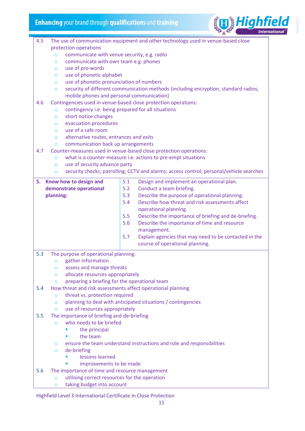

| 4.5 | The use of communication equipment and other technology used in venue-based close |                                                                                         |  |  |  |
|-----|-----------------------------------------------------------------------------------|-----------------------------------------------------------------------------------------|--|--|--|
|     | protection operations                                                             |                                                                                         |  |  |  |
|     | communicate with venue security, e.g. radio<br>$\circ$                            |                                                                                         |  |  |  |
|     | communicate with own team e.g. phones<br>$\circ$                                  |                                                                                         |  |  |  |
|     | use of pro-words<br>$\circ$                                                       |                                                                                         |  |  |  |
|     | use of phonetic alphabet<br>$\circ$                                               |                                                                                         |  |  |  |
|     | use of phonetic pronunciation of numbers<br>$\circ$                               |                                                                                         |  |  |  |
|     | $\circ$                                                                           | security of different communication methods (including encryption, standard radios,     |  |  |  |
|     | mobile phones and personal communication)                                         |                                                                                         |  |  |  |
| 4.6 |                                                                                   | Contingencies used in venue-based close protection operations:                          |  |  |  |
|     | $\circ$                                                                           | contingency i.e. being prepared for all situations                                      |  |  |  |
|     | short notice changes<br>$\circ$                                                   |                                                                                         |  |  |  |
|     | evacuation procedures<br>$\circ$                                                  |                                                                                         |  |  |  |
|     | use of a safe room<br>$\Omega$                                                    |                                                                                         |  |  |  |
|     | alternative routes, entrances and exits<br>$\circ$                                |                                                                                         |  |  |  |
|     | communication back up arrangements<br>$\circ$                                     | Counter-measures used in venue-based close protection operations:                       |  |  |  |
| 4.7 |                                                                                   |                                                                                         |  |  |  |
|     | $\circ$<br>use of security advance party<br>$\circ$                               | what is a counter-measure i.e. actions to pre-empt situations                           |  |  |  |
|     | $\circ$                                                                           | security checks; patrolling; CCTV and alarms; access control; personal/vehicle searches |  |  |  |
|     |                                                                                   |                                                                                         |  |  |  |
|     | 5. Know how to design and                                                         | 5.1<br>Design and implement an operational plan.                                        |  |  |  |
|     | demonstrate operational                                                           | 5.2<br>Conduct a team briefing.                                                         |  |  |  |
|     | planning:                                                                         | Describe the purpose of operational planning.<br>5.3                                    |  |  |  |
|     |                                                                                   | 5.4<br>Describe how threat and risk assessments affect                                  |  |  |  |
|     |                                                                                   | operational planning.                                                                   |  |  |  |
|     |                                                                                   | 5.5<br>Describe the importance of briefing and de-briefing.                             |  |  |  |
|     |                                                                                   | 5.6<br>Describe the importance of time and resource                                     |  |  |  |
|     |                                                                                   | management.                                                                             |  |  |  |
|     |                                                                                   | 5.7<br>Explain agencies that may need to be contacted in the                            |  |  |  |
|     |                                                                                   | course of operational planning.                                                         |  |  |  |
| 5.3 | The purpose of operational planning:                                              |                                                                                         |  |  |  |
|     | gather information<br>$\circ$                                                     |                                                                                         |  |  |  |
|     | assess and manage threats<br>O                                                    |                                                                                         |  |  |  |
|     | allocate resources appropriately<br>$\circ$                                       |                                                                                         |  |  |  |
|     | preparing a briefing for the operational team<br>$\circ$                          |                                                                                         |  |  |  |
| 5.4 |                                                                                   | How threat and risk assessments affect operational planning                             |  |  |  |
|     | threat vs. protection required<br>$\Omega$                                        |                                                                                         |  |  |  |
|     | $\circ$                                                                           | planning to deal with anticipated situations / contingencies                            |  |  |  |
|     | use of resources appropriately<br>$\circ$                                         |                                                                                         |  |  |  |
| 5.5 | The importance of briefing and de-briefing                                        |                                                                                         |  |  |  |
|     | who needs to be briefed<br>$\Omega$                                               |                                                                                         |  |  |  |
|     | the principal                                                                     |                                                                                         |  |  |  |
|     | the team                                                                          |                                                                                         |  |  |  |
|     | $\circ$<br>de-briefing                                                            | ensure the team understand instructions and role and responsibilities                   |  |  |  |
|     | $\circ$<br>lessons learned                                                        |                                                                                         |  |  |  |
|     | improvements to be made                                                           |                                                                                         |  |  |  |
| 5.6 | The importance of time and resource management                                    |                                                                                         |  |  |  |
|     | utilising correct resources for the operation<br>$\circ$                          |                                                                                         |  |  |  |
|     |                                                                                   |                                                                                         |  |  |  |

o taking budget into account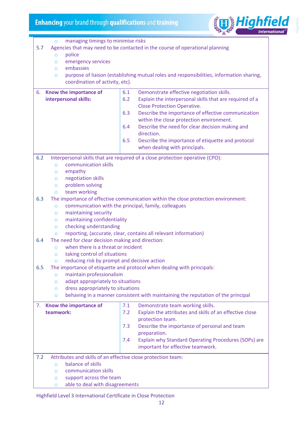

| managing timings to minimise risks<br>$\circ$                                       |                                                                                          |  |  |  |  |
|-------------------------------------------------------------------------------------|------------------------------------------------------------------------------------------|--|--|--|--|
| 5.7<br>Agencies that may need to be contacted in the course of operational planning |                                                                                          |  |  |  |  |
| $\overline{O}$                                                                      | police                                                                                   |  |  |  |  |
| $\circ$                                                                             | emergency services                                                                       |  |  |  |  |
| embassies<br>$\circ$                                                                |                                                                                          |  |  |  |  |
| $\circ$                                                                             | purpose of liaison (establishing mutual roles and responsibilities, information sharing, |  |  |  |  |
| coordination of activity, etc).                                                     |                                                                                          |  |  |  |  |
|                                                                                     |                                                                                          |  |  |  |  |
| Know the importance of<br>6.                                                        | 6.1<br>Demonstrate effective negotiation skills.                                         |  |  |  |  |
| interpersonal skills:                                                               | 6.2<br>Explain the interpersonal skills that are required of a                           |  |  |  |  |
|                                                                                     | <b>Close Protection Operative.</b>                                                       |  |  |  |  |
|                                                                                     | Describe the importance of effective communication<br>6.3                                |  |  |  |  |
|                                                                                     | within the close protection environment.                                                 |  |  |  |  |
|                                                                                     | 6.4<br>Describe the need for clear decision making and                                   |  |  |  |  |
|                                                                                     | direction.                                                                               |  |  |  |  |
|                                                                                     | Describe the importance of etiquette and protocol<br>6.5                                 |  |  |  |  |
|                                                                                     | when dealing with principals.                                                            |  |  |  |  |
| 6.2                                                                                 | Interpersonal skills that are required of a close protection operative (CPO):            |  |  |  |  |
| communication skills<br>$\overline{O}$                                              |                                                                                          |  |  |  |  |
| empathy<br>$\circ$                                                                  |                                                                                          |  |  |  |  |
| negotiation skills<br>$\circ$                                                       |                                                                                          |  |  |  |  |
| problem solving<br>$\circ$                                                          |                                                                                          |  |  |  |  |
| team working<br>$\circ$                                                             |                                                                                          |  |  |  |  |
| 6.3                                                                                 | The importance of effective communication within the close protection environment:       |  |  |  |  |
| $\circ$                                                                             | communication with the principal, family, colleagues                                     |  |  |  |  |
| maintaining security<br>$\circ$                                                     |                                                                                          |  |  |  |  |
| maintaining confidentiality<br>$\circ$                                              |                                                                                          |  |  |  |  |
| $\circ$                                                                             | checking understanding                                                                   |  |  |  |  |
| $\circ$                                                                             | reporting, (accurate, clear, contains all relevant information)                          |  |  |  |  |
| The need for clear decision making and direction:<br>6.4                            |                                                                                          |  |  |  |  |
| when there is a threat or incident<br>$\circ$                                       |                                                                                          |  |  |  |  |
| taking control of situations<br>$\circ$                                             |                                                                                          |  |  |  |  |
| reducing risk by prompt and decisive action<br>O                                    |                                                                                          |  |  |  |  |
| 6.5<br>The importance of etiquette and protocol when dealing with principals:       |                                                                                          |  |  |  |  |
| maintain professionalism<br>$\circ$                                                 |                                                                                          |  |  |  |  |
| adapt appropriately to situations<br>$\circ$                                        |                                                                                          |  |  |  |  |
| dress appropriately to situations<br>$\circ$                                        |                                                                                          |  |  |  |  |
| $\circ$                                                                             | behaving in a manner consistent with maintaining the reputation of the principal         |  |  |  |  |
| Know the importance of<br>7.                                                        | 7.1<br>Demonstrate team working skills.                                                  |  |  |  |  |
| teamwork:                                                                           | Explain the attributes and skills of an effective close<br>7.2                           |  |  |  |  |
|                                                                                     | protection team.                                                                         |  |  |  |  |
|                                                                                     | Describe the importance of personal and team<br>7.3                                      |  |  |  |  |
|                                                                                     | preparation.                                                                             |  |  |  |  |
|                                                                                     | Explain why Standard Operating Procedures (SOPs) are<br>7.4                              |  |  |  |  |
|                                                                                     | important for effective teamwork.                                                        |  |  |  |  |
| Attributes and skills of an effective close protection team:<br>7.2                 |                                                                                          |  |  |  |  |
| balance of skills<br>$\circ$                                                        |                                                                                          |  |  |  |  |
| communication skills<br>$\circ$                                                     |                                                                                          |  |  |  |  |
| support across the team<br>$\circ$                                                  |                                                                                          |  |  |  |  |
| able to deal with disagreements<br>O                                                |                                                                                          |  |  |  |  |
|                                                                                     |                                                                                          |  |  |  |  |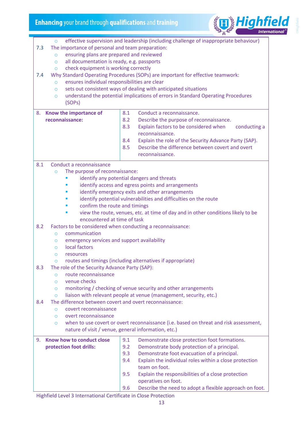

o effective supervision and leadership (including challenge of inappropriate behaviour) 7.3 The importance of personal and team preparation: o ensuring plans are prepared and reviewed o all documentation is ready, e.g. passports o check equipment is working correctly 7.4 Why Standard Operating Procedures (SOPs) are important for effective teamwork: o ensures individual responsibilities are clear o sets out consistent ways of dealing with anticipated situations o understand the potential implications of errors in Standard Operating Procedures (SOPs) 8. **Know the importance of reconnaissance:** 8.1 Conduct a reconnaissance. 8.2 Describe the purpose of reconnaissance. 8.3 Explain factors to be considered when conducting a reconnaissance. 8.4 Explain the role of the Security Advance Party (SAP). 8.5 Describe the difference between covert and overt reconnaissance. 8.1 Conduct a reconnaissance o The purpose of reconnaissance: identify any potential dangers and threats identify access and egress points and arrangements identify emergency exits and other arrangements identify potential vulnerabilities and difficulties on the route confirm the route and timings view the route, venues, etc. at time of day and in other conditions likely to be encountered at time of task 8.2 Factors to be considered when conducting a reconnaissance: o communication o emergency services and support availability o local factors o resources o routes and timings (including alternatives if appropriate) 8.3 The role of the Security Advance Party (SAP): o route reconnaissance o venue checks o monitoring / checking of venue security and other arrangements o liaison with relevant people at venue (management, security, etc.) 8.4 The difference between covert and overt reconnaissance: o covert reconnaissance o overt reconnaissance o when to use covert or overt reconnaissance (i.e. based on threat and risk assessment, nature of visit / venue, general information, etc.) 9. **Know how to conduct close protection foot drills:** 9.1 Demonstrate close protection foot formations. 9.2 Demonstrate body protection of a principal. 9.3 Demonstrate foot evacuation of a principal. 9.4 Explain the individual roles within a close protection team on foot. 9.5 Explain the responsibilities of a close protection operatives on foot. 9.6 Describe the need to adopt a flexible approach on foot.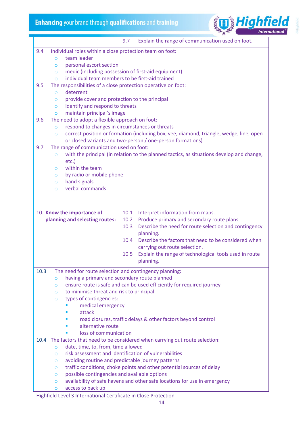

|      |                                                                                                        | Explain the range of communication used on foot.<br>9.7                                                     |  |  |  |
|------|--------------------------------------------------------------------------------------------------------|-------------------------------------------------------------------------------------------------------------|--|--|--|
| 9.4  | Individual roles within a close protection team on foot:                                               |                                                                                                             |  |  |  |
|      | team leader<br>$\overline{O}$                                                                          |                                                                                                             |  |  |  |
|      | personal escort section<br>$\circ$                                                                     |                                                                                                             |  |  |  |
|      | $\circ$                                                                                                | medic (including possession of first-aid equipment)                                                         |  |  |  |
|      | $\Omega$                                                                                               | individual team members to be first-aid trained                                                             |  |  |  |
| 9.5  | The responsibilities of a close protection operative on foot:                                          |                                                                                                             |  |  |  |
|      | deterrent<br>$\circ$                                                                                   |                                                                                                             |  |  |  |
|      | provide cover and protection to the principal<br>$\circ$                                               |                                                                                                             |  |  |  |
|      | identify and respond to threats<br>$\circ$                                                             |                                                                                                             |  |  |  |
|      | maintain principal's image<br>$\circ$                                                                  |                                                                                                             |  |  |  |
| 9.6  | The need to adopt a flexible approach on foot:                                                         |                                                                                                             |  |  |  |
|      | $\circ$                                                                                                | respond to changes in circumstances or threats                                                              |  |  |  |
|      | $\circ$                                                                                                | correct position or formation (including box, vee, diamond, triangle, wedge, line, open                     |  |  |  |
|      |                                                                                                        | or closed variants and two-person / one-person formations)                                                  |  |  |  |
| 9.7  | The range of communication used on foot:                                                               |                                                                                                             |  |  |  |
|      | $\circ$                                                                                                | with the principal (in relation to the planned tactics, as situations develop and change,                   |  |  |  |
|      | $etc.$ )<br>within the team                                                                            |                                                                                                             |  |  |  |
|      | $\circ$<br>by radio or mobile phone                                                                    |                                                                                                             |  |  |  |
|      | $\circ$<br>hand signals<br>$\circ$                                                                     |                                                                                                             |  |  |  |
|      | verbal commands<br>$\circ$                                                                             |                                                                                                             |  |  |  |
|      |                                                                                                        |                                                                                                             |  |  |  |
|      |                                                                                                        |                                                                                                             |  |  |  |
|      |                                                                                                        |                                                                                                             |  |  |  |
|      | 10. Know the importance of                                                                             | Interpret information from maps.<br>10.1<br>10.2                                                            |  |  |  |
|      | planning and selecting routes:                                                                         | Produce primary and secondary route plans.<br>10.3<br>Describe the need for route selection and contingency |  |  |  |
|      |                                                                                                        | planning.                                                                                                   |  |  |  |
|      |                                                                                                        | 10.4<br>Describe the factors that need to be considered when                                                |  |  |  |
|      |                                                                                                        | carrying out route selection.                                                                               |  |  |  |
|      |                                                                                                        | Explain the range of technological tools used in route<br>10.5                                              |  |  |  |
|      |                                                                                                        | planning.                                                                                                   |  |  |  |
|      |                                                                                                        |                                                                                                             |  |  |  |
| 10.3 | The need for route selection and contingency planning:<br>having a primary and secondary route planned |                                                                                                             |  |  |  |
|      | $\circ$<br>$\circ$                                                                                     | ensure route is safe and can be used efficiently for required journey                                       |  |  |  |
|      | to minimise threat and risk to principal<br>$\circ$                                                    |                                                                                                             |  |  |  |
|      | types of contingencies:<br>$\circ$                                                                     |                                                                                                             |  |  |  |
|      | medical emergency                                                                                      |                                                                                                             |  |  |  |
|      | attack                                                                                                 |                                                                                                             |  |  |  |
|      |                                                                                                        | road closures, traffic delays & other factors beyond control                                                |  |  |  |
|      | alternative route                                                                                      |                                                                                                             |  |  |  |
|      | loss of communication                                                                                  |                                                                                                             |  |  |  |
|      |                                                                                                        | 10.4 The factors that need to be considered when carrying out route selection:                              |  |  |  |
|      | date, time, to, from, time allowed<br>$\circ$                                                          |                                                                                                             |  |  |  |
|      | $\circ$                                                                                                | risk assessment and identification of vulnerabilities                                                       |  |  |  |
|      | $\circ$                                                                                                | avoiding routine and predictable journey patterns                                                           |  |  |  |
|      | $\circ$                                                                                                | traffic conditions, choke points and other potential sources of delay                                       |  |  |  |
|      | possible contingencies and available options<br>$\circ$                                                |                                                                                                             |  |  |  |
|      | $\circ$                                                                                                | availability of safe havens and other safe locations for use in emergency                                   |  |  |  |
|      | access to back up<br>O                                                                                 |                                                                                                             |  |  |  |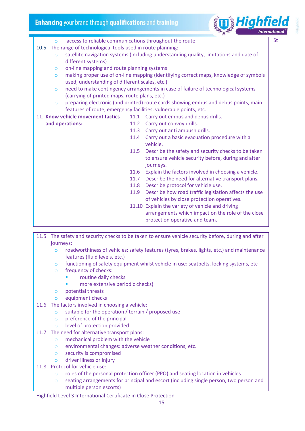

| St<br>access to reliable communications throughout the route<br>$\Omega$                          |      |                                                                                      |  |
|---------------------------------------------------------------------------------------------------|------|--------------------------------------------------------------------------------------|--|
| The range of technological tools used in route planning:<br>10.5                                  |      |                                                                                      |  |
| satellite navigation systems (including understanding quality, limitations and date of<br>$\circ$ |      |                                                                                      |  |
| different systems)                                                                                |      |                                                                                      |  |
| on-line mapping and route planning systems<br>$\circ$                                             |      |                                                                                      |  |
| $\circ$                                                                                           |      | making proper use of on-line mapping (identifying correct maps, knowledge of symbols |  |
| used, understanding of different scales, etc.)                                                    |      |                                                                                      |  |
| $\circ$                                                                                           |      | need to make contingency arrangements in case of failure of technological systems    |  |
| (carrying of printed maps, route plans, etc.)                                                     |      |                                                                                      |  |
| $\circ$                                                                                           |      | preparing electronic (and printed) route cards showing embus and debus points, main  |  |
|                                                                                                   |      | features of route, emergency facilities, vulnerable points, etc.                     |  |
| 11. Know vehicle movement tactics                                                                 | 11.1 | Carry out embus and debus drills.                                                    |  |
| and operations:                                                                                   | 11.2 | Carry out convoy drills.                                                             |  |
|                                                                                                   |      | 11.3 Carry out anti ambush drills.                                                   |  |
|                                                                                                   | 11.4 | Carry out a basic evacuation procedure with a                                        |  |
|                                                                                                   |      | vehicle.                                                                             |  |
|                                                                                                   | 11.5 | Describe the safety and security checks to be taken                                  |  |
|                                                                                                   |      | to ensure vehicle security before, during and after                                  |  |
|                                                                                                   |      | journeys.                                                                            |  |
|                                                                                                   | 11.6 | Explain the factors involved in choosing a vehicle.                                  |  |
|                                                                                                   | 11.7 | Describe the need for alternative transport plans.                                   |  |
|                                                                                                   | 11.8 | Describe protocol for vehicle use.                                                   |  |
|                                                                                                   | 11.9 | Describe how road traffic legislation affects the use                                |  |
|                                                                                                   |      | of vehicles by close protection operatives.                                          |  |
|                                                                                                   |      | 11.10 Explain the variety of vehicle and driving                                     |  |
|                                                                                                   |      | arrangements which impact on the role of the close                                   |  |
|                                                                                                   |      | protection operative and team.                                                       |  |
|                                                                                                   |      |                                                                                      |  |

- 11.5 The safety and security checks to be taken to ensure vehicle security before, during and after journeys:
	- o roadworthiness of vehicles: safety features (tyres, brakes, lights, etc.) and maintenance features (fluid levels, etc.)
	- o functioning of safety equipment whilst vehicle in use: seatbelts, locking systems, etc
	- o frequency of checks:
		- routine daily checks
		- more extensive periodic checks)
	- o potential threats
	- o equipment checks
- 11.6 The factors involved in choosing a vehicle:
	- o suitable for the operation / terrain / proposed use
	- o preference of the principal
	- o level of protection provided
- 11.7 The need for alternative transport plans:
	- o mechanical problem with the vehicle
	- o environmental changes: adverse weather conditions, etc.
	- o security is compromised
	- o driver illness or injury
- 11.8 Protocol for vehicle use:
	- o roles of the personal protection officer (PPO) and seating location in vehicles
	- o seating arrangements for principal and escort (including single person, two person and multiple person escorts)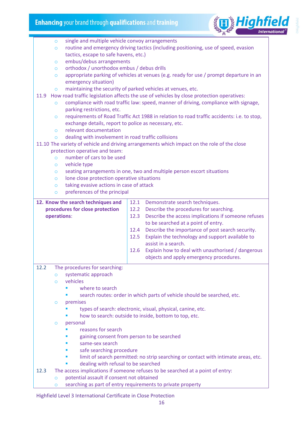

|      | single and multiple vehicle convoy arrangements<br>$\circ$                                        |                                                                                                                                                                                  |      |                                                                                                                      |  |  |
|------|---------------------------------------------------------------------------------------------------|----------------------------------------------------------------------------------------------------------------------------------------------------------------------------------|------|----------------------------------------------------------------------------------------------------------------------|--|--|
|      | $\circ$                                                                                           | routine and emergency driving tactics (including positioning, use of speed, evasion                                                                                              |      |                                                                                                                      |  |  |
|      |                                                                                                   | tactics, escape to safe havens, etc.)                                                                                                                                            |      |                                                                                                                      |  |  |
|      | $\circ$                                                                                           | embus/debus arrangements                                                                                                                                                         |      |                                                                                                                      |  |  |
|      | $\circ$                                                                                           | orthodox / unorthodox embus / debus drills                                                                                                                                       |      |                                                                                                                      |  |  |
|      |                                                                                                   |                                                                                                                                                                                  |      |                                                                                                                      |  |  |
|      | appropriate parking of vehicles at venues (e.g. ready for use / prompt departure in an<br>$\circ$ |                                                                                                                                                                                  |      |                                                                                                                      |  |  |
|      | $\circ$                                                                                           | emergency situation)                                                                                                                                                             |      |                                                                                                                      |  |  |
| 11.9 |                                                                                                   | maintaining the security of parked vehicles at venues, etc.                                                                                                                      |      |                                                                                                                      |  |  |
|      | $\circ$                                                                                           | How road traffic legislation affects the use of vehicles by close protection operatives:<br>compliance with road traffic law: speed, manner of driving, compliance with signage, |      |                                                                                                                      |  |  |
|      |                                                                                                   | parking restrictions, etc.                                                                                                                                                       |      |                                                                                                                      |  |  |
|      | $\circ$                                                                                           |                                                                                                                                                                                  |      | requirements of Road Traffic Act 1988 in relation to road traffic accidents: i.e. to stop,                           |  |  |
|      |                                                                                                   | exchange details, report to police as necessary, etc.                                                                                                                            |      |                                                                                                                      |  |  |
|      | $\circ$                                                                                           | relevant documentation                                                                                                                                                           |      |                                                                                                                      |  |  |
|      | $\Omega$                                                                                          | dealing with involvement in road traffic collisions                                                                                                                              |      |                                                                                                                      |  |  |
|      |                                                                                                   |                                                                                                                                                                                  |      | 11.10 The variety of vehicle and driving arrangements which impact on the role of the close                          |  |  |
|      | protection operative and team:                                                                    |                                                                                                                                                                                  |      |                                                                                                                      |  |  |
|      | $\Omega$                                                                                          | number of cars to be used                                                                                                                                                        |      |                                                                                                                      |  |  |
|      | vehicle type                                                                                      |                                                                                                                                                                                  |      |                                                                                                                      |  |  |
|      | $\circ$<br>$\circ$                                                                                |                                                                                                                                                                                  |      | seating arrangements in one, two and multiple person escort situations                                               |  |  |
|      | $\circ$                                                                                           | lone close protection operative situations                                                                                                                                       |      |                                                                                                                      |  |  |
|      | $\circ$                                                                                           | taking evasive actions in case of attack                                                                                                                                         |      |                                                                                                                      |  |  |
|      | $\circ$                                                                                           | preferences of the principal                                                                                                                                                     |      |                                                                                                                      |  |  |
|      |                                                                                                   |                                                                                                                                                                                  |      |                                                                                                                      |  |  |
|      | 12. Know the search techniques and                                                                |                                                                                                                                                                                  | 12.1 | Demonstrate search techniques.                                                                                       |  |  |
|      | procedures for close protection                                                                   |                                                                                                                                                                                  | 12.2 | Describe the procedures for searching.                                                                               |  |  |
|      |                                                                                                   |                                                                                                                                                                                  |      |                                                                                                                      |  |  |
|      | operations:                                                                                       |                                                                                                                                                                                  | 12.3 | Describe the access implications if someone refuses                                                                  |  |  |
|      |                                                                                                   |                                                                                                                                                                                  |      | to be searched at a point of entry.                                                                                  |  |  |
|      |                                                                                                   |                                                                                                                                                                                  | 12.4 | Describe the importance of post search security.                                                                     |  |  |
|      |                                                                                                   |                                                                                                                                                                                  | 12.5 | Explain the technology and support available to                                                                      |  |  |
|      |                                                                                                   |                                                                                                                                                                                  |      | assist in a search.                                                                                                  |  |  |
|      |                                                                                                   |                                                                                                                                                                                  | 12.6 | Explain how to deal with unauthorised / dangerous                                                                    |  |  |
|      |                                                                                                   |                                                                                                                                                                                  |      | objects and apply emergency procedures.                                                                              |  |  |
|      |                                                                                                   |                                                                                                                                                                                  |      |                                                                                                                      |  |  |
| 12.2 | $\circ$                                                                                           | The procedures for searching:                                                                                                                                                    |      |                                                                                                                      |  |  |
|      | vehicles<br>$\Omega$                                                                              | systematic approach                                                                                                                                                              |      |                                                                                                                      |  |  |
|      |                                                                                                   | where to search                                                                                                                                                                  |      |                                                                                                                      |  |  |
|      |                                                                                                   |                                                                                                                                                                                  |      |                                                                                                                      |  |  |
|      | $\circ$                                                                                           |                                                                                                                                                                                  |      | search routes: order in which parts of vehicle should be searched, etc.                                              |  |  |
|      | premises                                                                                          |                                                                                                                                                                                  |      |                                                                                                                      |  |  |
|      |                                                                                                   |                                                                                                                                                                                  |      | types of search: electronic, visual, physical, canine, etc.<br>how to search: outside to inside, bottom to top, etc. |  |  |
|      | personal<br>$\circ$                                                                               |                                                                                                                                                                                  |      |                                                                                                                      |  |  |
|      |                                                                                                   | reasons for search                                                                                                                                                               |      |                                                                                                                      |  |  |
|      |                                                                                                   |                                                                                                                                                                                  |      |                                                                                                                      |  |  |
|      |                                                                                                   | gaining consent from person to be searched<br>same-sex search                                                                                                                    |      |                                                                                                                      |  |  |
|      | ш                                                                                                 |                                                                                                                                                                                  |      |                                                                                                                      |  |  |
|      | п                                                                                                 | safe searching procedure                                                                                                                                                         |      |                                                                                                                      |  |  |
|      |                                                                                                   |                                                                                                                                                                                  |      | limit of search permitted: no strip searching or contact with intimate areas, etc.                                   |  |  |
| 12.3 |                                                                                                   | dealing with refusal to be searched                                                                                                                                              |      |                                                                                                                      |  |  |
|      |                                                                                                   |                                                                                                                                                                                  |      | The access implications if someone refuses to be searched at a point of entry:                                       |  |  |
|      | $\circ$<br>$\circ$                                                                                | potential assault if consent not obtained                                                                                                                                        |      | searching as part of entry requirements to private property                                                          |  |  |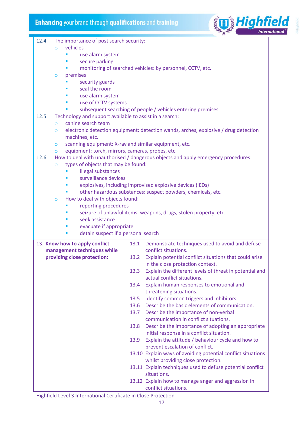

| 12.4 |          | The importance of post search security:                       |      |                                                                                                 |
|------|----------|---------------------------------------------------------------|------|-------------------------------------------------------------------------------------------------|
|      | $\Omega$ | vehicles                                                      |      |                                                                                                 |
|      |          | use alarm system                                              |      |                                                                                                 |
|      |          | secure parking                                                |      |                                                                                                 |
|      |          |                                                               |      | monitoring of searched vehicles: by personnel, CCTV, etc.                                       |
|      | $\circ$  | premises                                                      |      |                                                                                                 |
|      |          | security guards                                               |      |                                                                                                 |
|      |          | seal the room                                                 |      |                                                                                                 |
|      | п        | use alarm system                                              |      |                                                                                                 |
|      |          | use of CCTV systems                                           |      |                                                                                                 |
|      |          |                                                               |      | subsequent searching of people / vehicles entering premises                                     |
| 12.5 |          | Technology and support available to assist in a search:       |      |                                                                                                 |
|      | $\circ$  | canine search team                                            |      |                                                                                                 |
|      | $\Omega$ | machines, etc.                                                |      | electronic detection equipment: detection wands, arches, explosive / drug detection             |
|      | O        | scanning equipment: X-ray and similar equipment, etc.         |      |                                                                                                 |
|      | $\circ$  | equipment: torch, mirrors, cameras, probes, etc.              |      |                                                                                                 |
| 12.6 |          |                                                               |      | How to deal with unauthorised / dangerous objects and apply emergency procedures:               |
|      | $\circ$  | types of objects that may be found:                           |      |                                                                                                 |
|      |          | illegal substances                                            |      |                                                                                                 |
|      |          | surveillance devices                                          |      |                                                                                                 |
|      |          |                                                               |      | explosives, including improvised explosive devices (IEDs)                                       |
|      |          |                                                               |      | other hazardous substances: suspect powders, chemicals, etc.                                    |
|      | $\circ$  | How to deal with objects found:                               |      |                                                                                                 |
|      |          | reporting procedures                                          |      |                                                                                                 |
|      | п        | seek assistance                                               |      | seizure of unlawful items: weapons, drugs, stolen property, etc.                                |
|      |          | evacuate if appropriate                                       |      |                                                                                                 |
|      | п        | detain suspect if a personal search                           |      |                                                                                                 |
|      |          |                                                               |      |                                                                                                 |
|      |          | 13. Know how to apply conflict<br>management techniques while | 13.1 | Demonstrate techniques used to avoid and defuse<br>conflict situations.                         |
|      |          | providing close protection:                                   | 13.2 | Explain potential conflict situations that could arise                                          |
|      |          |                                                               |      | in the close protection context.                                                                |
|      |          |                                                               | 13.3 | Explain the different levels of threat in potential and                                         |
|      |          |                                                               |      | actual conflict situations.                                                                     |
|      |          |                                                               | 13.4 | Explain human responses to emotional and                                                        |
|      |          |                                                               |      | threatening situations.                                                                         |
|      |          |                                                               | 13.5 | Identify common triggers and inhibitors.                                                        |
|      |          |                                                               | 13.6 | Describe the basic elements of communication.                                                   |
|      |          |                                                               | 13.7 | Describe the importance of non-verbal                                                           |
|      |          |                                                               |      | communication in conflict situations.                                                           |
|      |          |                                                               | 13.8 | Describe the importance of adopting an appropriate                                              |
|      |          |                                                               |      | initial response in a conflict situation.                                                       |
|      |          |                                                               | 13.9 | Explain the attitude / behaviour cycle and how to                                               |
|      |          |                                                               |      | prevent escalation of conflict.<br>13.10 Explain ways of avoiding potential conflict situations |
|      |          |                                                               |      | whilst providing close protection.                                                              |
|      |          |                                                               |      | 13.11 Explain techniques used to defuse potential conflict                                      |
|      |          |                                                               |      | situations.                                                                                     |

13.12 Explain how to manage anger and aggression in conflict situations.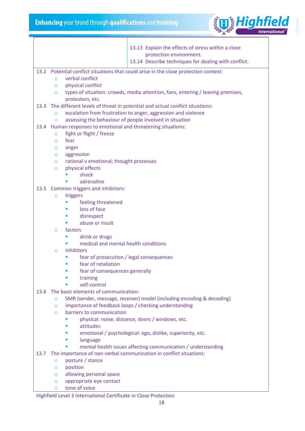

Highfield Level 3 International Certificate in Close Protection 13.13 Explain the effects of stress within a close protection environment. 13.14 Describe techniques for dealing with conflict. 13.2 Potential conflict situations that could arise in the close protection context: o verbal conflict o physical conflict o types of situation: crowds, media attention, fans, entering / leaving premises, protestors, etc. 13.3 The different levels of threat in potential and actual conflict situations: o escalation from frustration to anger, aggression and violence o assessing the behaviour of people involved in situation 13.4 Human responses to emotional and threatening situations: o fight or flight / freeze o fear o anger o aggression o rational v emotional; thought processes o physical effects ▪ shock ▪ adrenaline 13.5 Common triggers and inhibitors: o triggers ■ feeling threatened loss of face ■ disrespect abuse or insult o factors ■ drink or drugs ■ medical and mental health conditions o inhibitors ■ fear of prosecution / legal consequences fear of retaliation fear of consequences generally training self-control 13.6 The basic elements of communication: o SMR (sender, message, receiver) model (including encoding & decoding) o importance of feedback loops / checking understanding o barriers to communication **·** physical: noise, distance, doors / windows, etc. attitudes emotional / psychological: ego, dislike, superiority, etc. **language** mental health issues affecting communication / understanding 13.7 The importance of non-verbal communication in conflict situations: o posture / stance o position o allowing personal space o appropriate eye contact o tone of voice